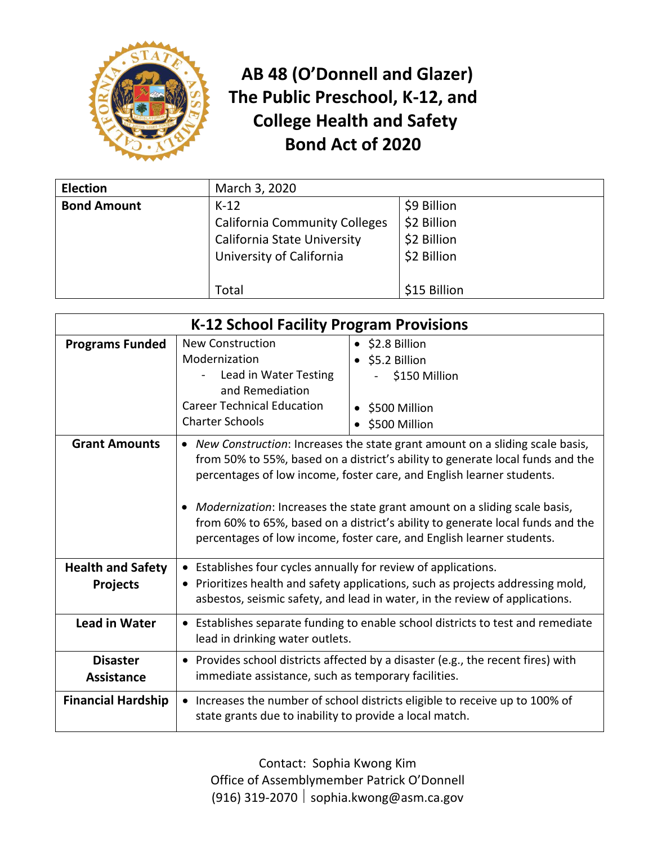

## **AB 48 (O'Donnell and Glazer) The Public Preschool, K-12, and College Health and Safety Bond Act of 2020**

| <b>Election</b>    | March 3, 2020                        |              |
|--------------------|--------------------------------------|--------------|
| <b>Bond Amount</b> | $K-12$                               | \$9 Billion  |
|                    | <b>California Community Colleges</b> | \$2 Billion  |
|                    | <b>California State University</b>   | \$2 Billion  |
|                    | University of California             | \$2 Billion  |
|                    |                                      |              |
|                    | Total                                | \$15 Billion |

| K-12 School Facility Program Provisions     |                                                                                                                                                                                                                                                                                                                                                                                                                                                                                                |                                                                                                                                                                |
|---------------------------------------------|------------------------------------------------------------------------------------------------------------------------------------------------------------------------------------------------------------------------------------------------------------------------------------------------------------------------------------------------------------------------------------------------------------------------------------------------------------------------------------------------|----------------------------------------------------------------------------------------------------------------------------------------------------------------|
| <b>Programs Funded</b>                      | <b>New Construction</b><br>Modernization<br>Lead in Water Testing<br>and Remediation<br><b>Career Technical Education</b><br><b>Charter Schools</b>                                                                                                                                                                                                                                                                                                                                            | $\bullet$ \$2.8 Billion<br>$\bullet$ \$5.2 Billion<br>\$150 Million<br>• \$500 Million<br>\$500 Million                                                        |
| <b>Grant Amounts</b>                        | • New Construction: Increases the state grant amount on a sliding scale basis,<br>from 50% to 55%, based on a district's ability to generate local funds and the<br>percentages of low income, foster care, and English learner students.<br>Modernization: Increases the state grant amount on a sliding scale basis,<br>$\bullet$<br>from 60% to 65%, based on a district's ability to generate local funds and the<br>percentages of low income, foster care, and English learner students. |                                                                                                                                                                |
| <b>Health and Safety</b><br><b>Projects</b> | • Establishes four cycles annually for review of applications.                                                                                                                                                                                                                                                                                                                                                                                                                                 | • Prioritizes health and safety applications, such as projects addressing mold,<br>asbestos, seismic safety, and lead in water, in the review of applications. |
| <b>Lead in Water</b>                        | lead in drinking water outlets.                                                                                                                                                                                                                                                                                                                                                                                                                                                                | • Establishes separate funding to enable school districts to test and remediate                                                                                |
| <b>Disaster</b><br><b>Assistance</b>        | immediate assistance, such as temporary facilities.                                                                                                                                                                                                                                                                                                                                                                                                                                            | • Provides school districts affected by a disaster (e.g., the recent fires) with                                                                               |
| <b>Financial Hardship</b>                   | state grants due to inability to provide a local match.                                                                                                                                                                                                                                                                                                                                                                                                                                        | • Increases the number of school districts eligible to receive up to 100% of                                                                                   |

Contact: Sophia Kwong Kim Office of Assemblymember Patrick O'Donnell (916) 319-2070  $|$  sophia.kwong@asm.ca.gov